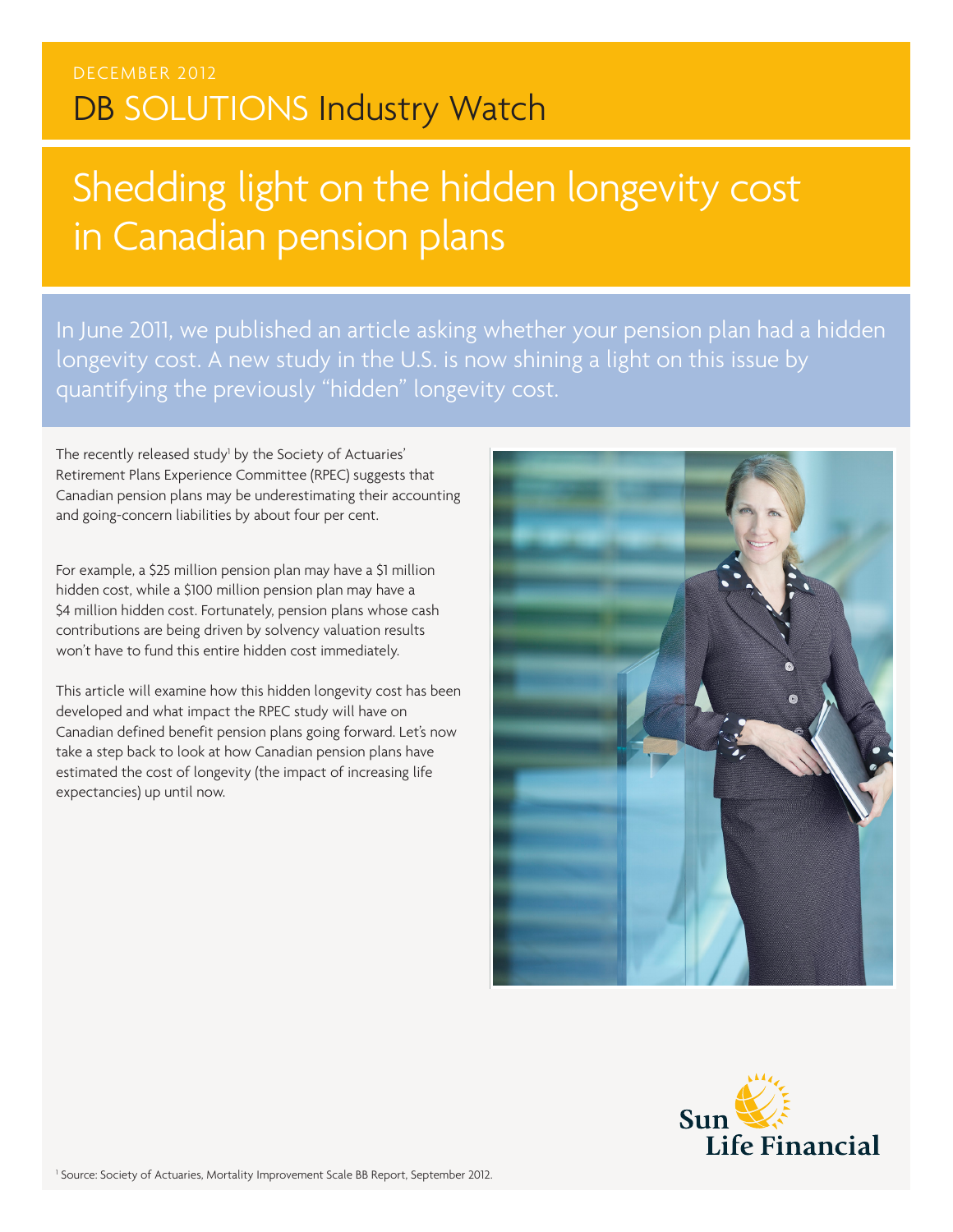# Shedding light on the hidden longevity cost in Canadian pension plans

In June 2011, we published an article asking whether your pension plan had a hidden longevity cost. A new study in the U.S. is now shining a light on this issue by quantifying the previously "hidden" longevity cost.

The recently released study<sup>1</sup> by the Society of Actuaries' Retirement Plans Experience Committee (RPEC) suggests that Canadian pension plans may be underestimating their accounting and going-concern liabilities by about four per cent.

For example, a \$25 million pension plan may have a \$1 million hidden cost, while a \$100 million pension plan may have a \$4 million hidden cost. Fortunately, pension plans whose cash contributions are being driven by solvency valuation results won't have to fund this entire hidden cost immediately.

This article will examine how this hidden longevity cost has been developed and what impact the RPEC study will have on Canadian defined benefit pension plans going forward. Let's now take a step back to look at how Canadian pension plans have estimated the cost of longevity (the impact of increasing life expectancies) up until now.



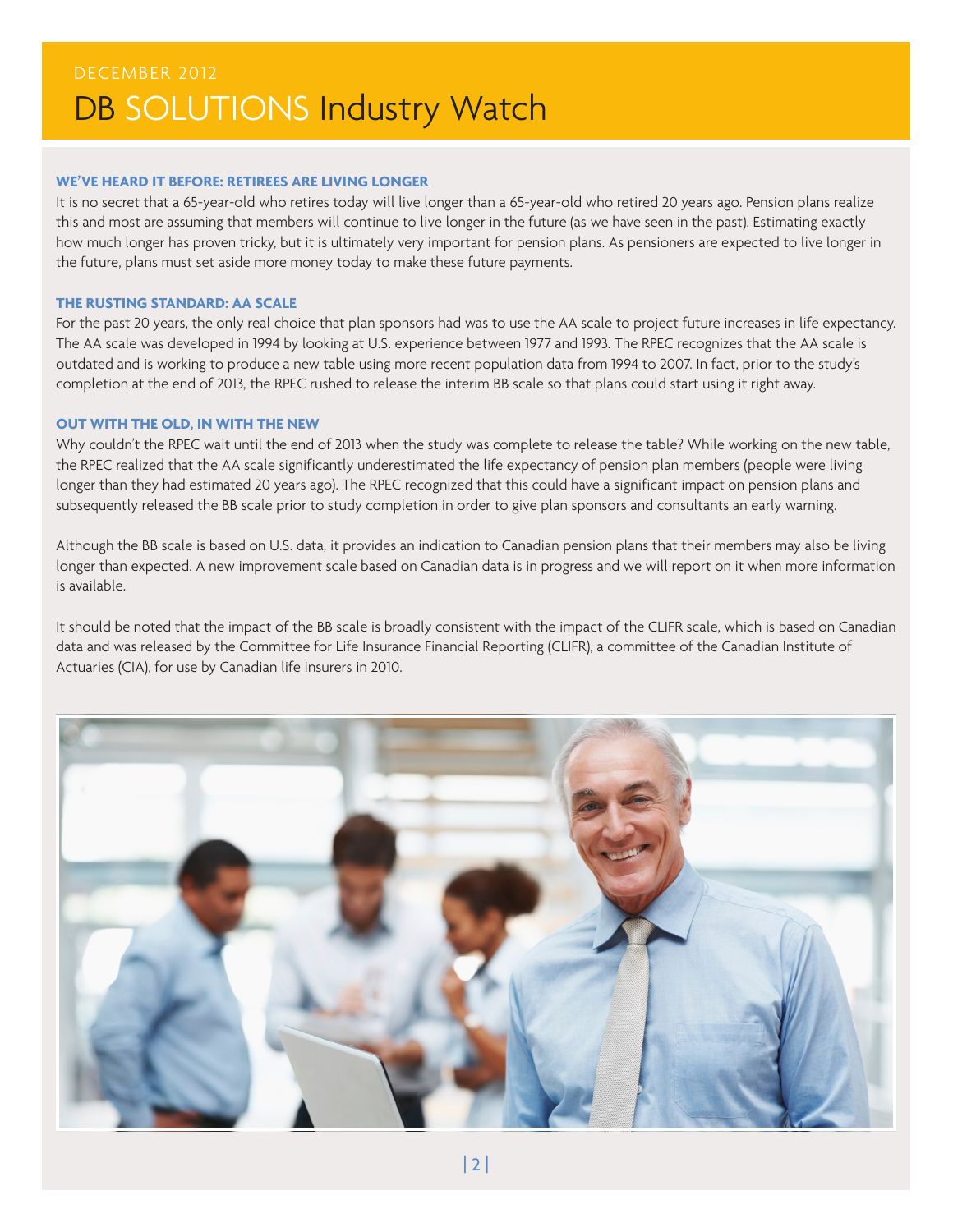## **WE'VE HEARD IT BEFORE: RETIREES ARE LIVING LONGER**

It is no secret that a 65-year-old who retires today will live longer than a 65-year-old who retired 20 years ago. Pension plans realize this and most are assuming that members will continue to live longer in the future (as we have seen in the past). Estimating exactly how much longer has proven tricky, but it is ultimately very important for pension plans. As pensioners are expected to live longer in the future, plans must set aside more money today to make these future payments.

#### **THE RUSTING STANDARD: AA SCALE**

For the past 20 years, the only real choice that plan sponsors had was to use the AA scale to project future increases in life expectancy. The AA scale was developed in 1994 by looking at U.S. experience between 1977 and 1993. The RPEC recognizes that the AA scale is outdated and is working to produce a new table using more recent population data from 1994 to 2007. In fact, prior to the study's completion at the end of 2013, the RPEC rushed to release the interim BB scale so that plans could start using it right away.

#### **OUT WITH THE OLD, IN WITH THE NEW**

Why couldn't the RPEC wait until the end of 2013 when the study was complete to release the table? While working on the new table, the RPEC realized that the AA scale significantly underestimated the life expectancy of pension plan members (people were living longer than they had estimated 20 years ago). The RPEC recognized that this could have a significant impact on pension plans and subsequently released the BB scale prior to study completion in order to give plan sponsors and consultants an early warning.

Although the BB scale is based on U.S. data, it provides an indication to Canadian pension plans that their members may also be living longer than expected. A new improvement scale based on Canadian data is in progress and we will report on it when more information is available.

It should be noted that the impact of the BB scale is broadly consistent with the impact of the CLIFR scale, which is based on Canadian data and was released by the Committee for Life Insurance Financial Reporting (CLIFR), a committee of the Canadian Institute of Actuaries (CIA), for use by Canadian life insurers in 2010.

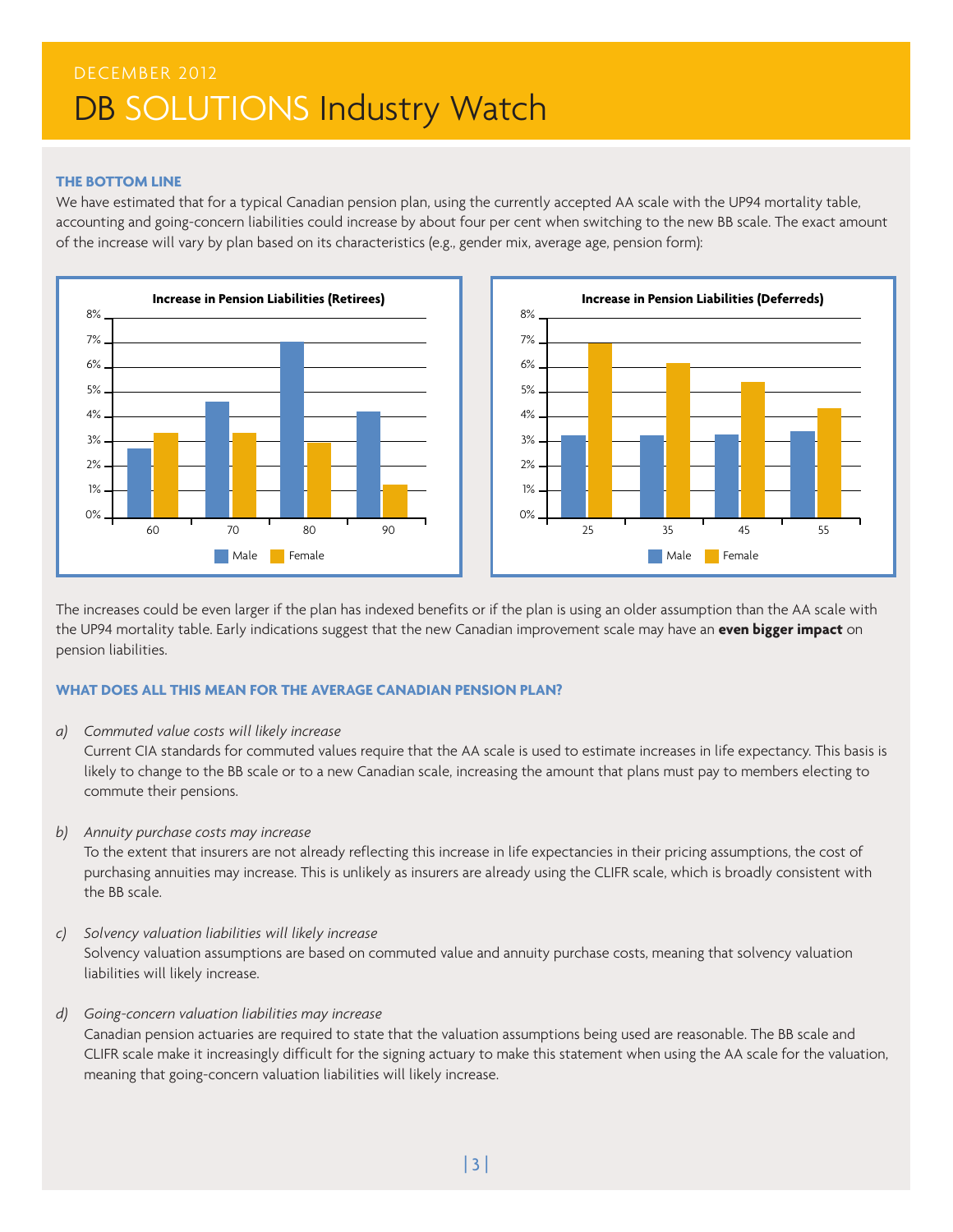#### **THE BOTTOM LINE**

We have estimated that for a typical Canadian pension plan, using the currently accepted AA scale with the UP94 mortality table, accounting and going-concern liabilities could increase by about four per cent when switching to the new BB scale. The exact amount of the increase will vary by plan based on its characteristics (e.g., gender mix, average age, pension form):





The increases could be even larger if the plan has indexed benefits or if the plan is using an older assumption than the AA scale with the UP94 mortality table. Early indications suggest that the new Canadian improvement scale may have an **even bigger impact** on pension liabilities.

### **WHAT DOES ALL THIS MEAN FOR THE AVERAGE CANADIAN PENSION PLAN?**

#### *a) Commuted value costs will likely increase*

Current CIA standards for commuted values require that the AA scale is used to estimate increases in life expectancy. This basis is likely to change to the BB scale or to a new Canadian scale, increasing the amount that plans must pay to members electing to commute their pensions.

### *b) Annuity purchase costs may increase*

To the extent that insurers are not already reflecting this increase in life expectancies in their pricing assumptions, the cost of purchasing annuities may increase. This is unlikely as insurers are already using the CLIFR scale, which is broadly consistent with the BB scale.

*c) Solvency valuation liabilities will likely increase*

Solvency valuation assumptions are based on commuted value and annuity purchase costs, meaning that solvency valuation liabilities will likely increase.

### *d) Going-concern valuation liabilities may increase*

Canadian pension actuaries are required to state that the valuation assumptions being used are reasonable. The BB scale and CLIFR scale make it increasingly difficult for the signing actuary to make this statement when using the AA scale for the valuation, meaning that going-concern valuation liabilities will likely increase.